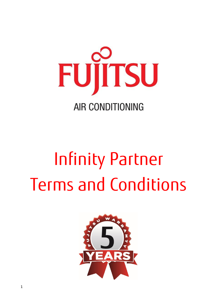

# Infinity Partner Terms and Conditions

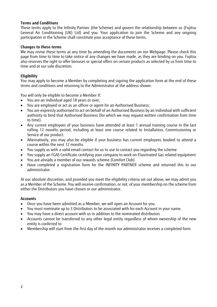#### **Terms and Conditions**

These terms apply to the Infinity Partner (the Scheme) and govern the relationship between us (Fujitsu General Air Conditioning (UK) Ltd) and you. Your application to join the Scheme and any ongoing participation in the Scheme shall constitute your acceptance of these terms.

#### **Changes to these terms**

We may revise these terms at any time by amending the documents on our Webpage. Please check this page from time to time to take notice of any changes we have made, as they are binding on you. Fujitsu also reserves the right to offer bonuses or special offers on certain products as selected by us from time to time and at our sole discretion.

# **Eligibility**

You may apply to become a Member by completing and signing the application form at the end of these terms and conditions and returning to the Administrator at the address shown.

You will only be eligible to become a Member if:

- You are an individual aged 18 years or over;
- You are employed or act as an officer or agent for an Authorised Business;
- You are expressly authorised to act on behalf of an Authorised Business by an individual with sufficient authority to bind that Authorised Business (for which we may request written confirmation from time to time).
- Any current employees of your business have attended at least 1 annual training course in the last rolling 12 months period, including at least one course related to Installation, Commissioning or Service of our product.
- Alternatively, you may also be eligible if your business has current employees booked to attend a course within the next 12 months
- You supply us with a valid email contact for us to use to contact you regarding the scheme
- You supply an FGAS Certificate certifying your company to work on Fluorinated Gas related equipment
- You are already a member of our rewards scheme (Comfort Club)
- Have completed a registration form for the INFINITY PARTNER scheme and returned this to our administrator

At our absolute discretion, and provided you meet the eligibility criteria set out above, we may admit you as a Member of the Scheme. You will receive confirmation, or not, of your membership on the scheme from either the Distributors you have chosen or our administrator.

#### **Accounts**

- Once you have been admitted as a Member, we will open an Account for you.
- You must nominate up to 3 Distributors to be associated with for each Account in your name.
- You may have a direct account with us in addition to the nominated distributors
- Accounts cannot be transferred to any other legal entity regardless of whom ownership of the new entity is conferred to
- Membership will start from the first day of the month our administrator receives a completed form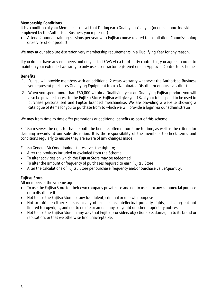# **Membership Conditions**

It is a condition of your Membership Level that During each Qualifying Year you (or one or more individuals employed by the Authorised Business you represent);

• Attend 2 annual training sessions per year with Fujitsu course related to Installation, Commissioning or Service of our product

We may at our absolute discretion vary membership requirements in a Qualifying Year for any reason.

If you do not have any engineers and only install FGAS via a third-party contractor, you agree, in order to maintain your extended warranty to only use a contractor registered on our Approved Contractor Scheme

#### **Benefits**

- 1. Fujitsu will provide members with an additional 2 years warranty whenever the Authorised Business you represent purchases Qualifying Equipment from a Nominated Distributor or ourselves direct.
- 2. When you spend more than £50,000 within a Qualifying year on Qualifying Fujitsu product you will also be provided access to the **Fujitsu Store**. Fujitsu will give you 1% of your total spend to be used to purchase personalised and Fujitsu branded merchandise. We are providing a website showing a catalogue of items for you to purchase from to which we will provide a login via our administrator

We may from time to time offer promotions or additional benefits as part of this scheme

Fujitsu reserves the right to change both the benefits offered from time to time, as well as the criteria for claiming rewards at our sole discretion. It is the responsibility of the members to check terms and conditions regularly to ensure they are aware of any changes made.

Fujitsu General Air Conditioning Ltd reserves the right to;

- Alter the products included or excluded from the Scheme
- To alter activities on which the Fujitsu Store may be redeemed
- To alter the amount or frequency of purchases required to earn Fujitsu Store
- Alter the calculations of Fujitsu Store per purchase frequency and/or purchase value/quantity.

# **Fujitsu Store**

All members of the scheme agree;

- To use the Fujitsu Store for their own company private use and not to use it for any commercial purpose or to distribute it
- Not to use the Fujitsu Store for any fraudulent, criminal or unlawful purpose
- Not to infringe either Fujitsu's or any other person's intellectual property rights, including but not limited to copyright, and not to delete or amend any copyright or other proprietary notices
- Not to use the Fujitsu Store in any way that Fujitsu, considers objectionable, damaging to its brand or reputation, or that we otherwise find unacceptable.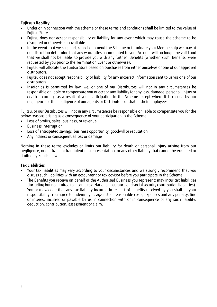# **Fujitsu's liability**;

- Under or in connection with the scheme or these terms and conditions shall be limited to the value of Fujitsu Store
- Fujitsu does not accept responsibility or liability for any event which may cause the scheme to be disrupted or otherwise unavailable
- In the event that we suspend, cancel or amend the Scheme or terminate your Membership we may at our discretion determine that any warranties accumulated to your Account will no longer be valid and that we shall not be liable to provide you with any further Benefits (whether such Benefits were requested by you prior to the Termination Event or otherwise).
- Fujitsu will allocate the Fujitsu Store based on purchases from either ourselves or one of our approved distributors.
- Fujitsu does not accept responsibility or liability for any incorrect information sent to us via one of our distributors.
- Insofar as is permitted by law, we, or one of our Distributors will not in any circumstances be responsible or liable to compensate you or accept any liability for any loss, damage, personal injury or death occurring as a result of your participation in the Scheme except where it is caused by our negligence or the negligence of our agents or Distributors or that of their employees.

Fujitsu, or our Distributors will not in any circumstances be responsible or liable to compensate you for the below reasons arising as a consequence of your participation in the Scheme.:

- Loss of profits, sales, business, or revenue
- Business interruption
- Loss of anticipated savings, business opportunity, goodwill or reputation
- Any indirect or consequential loss or damage

Nothing in these terms excludes or limits our liability for death or personal injury arising from our negligence, or our fraud or fraudulent misrepresentation, or any other liability that cannot be excluded or limited by English law.

#### **Tax Liabilities**

- Your tax liabilities may vary according to your circumstances and we strongly recommend that you discuss such liabilities with an accountant or tax advisor before you participate in the Scheme.
- The Benefits you receive on behalf of the Authorised Business you represent; may incur tax liabilities (including but not limited to income tax, National Insurance and social security contribution liabilities). You acknowledge that any tax liability incurred in respect of benefits received by you shall be your responsibility. You agree to indemnify us against all reasonable costs, expenses and any penalty, fine or interest incurred or payable by us in connection with or in consequence of any such liability, deduction, contribution, assessment or claim.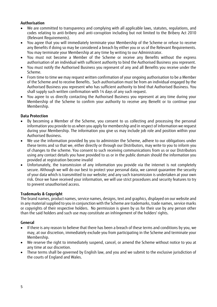# **Authorisation**

- We are committed to transparency and complying with all applicable laws, statutes, regulations, and codes relating to anti-bribery and anti-corruption including but not limited to the Bribery Act 2010 (Relevant Requirements).
- You agree that you will immediately terminate your Membership of the Scheme or refuse to receive any Benefits if doing so may be considered a breach by either you or us of the Relevant Requirements. You may terminate your Membership at any time by writing to our Administrator.
- You must not become a Member of the Scheme or receive any Benefits without the express authorisation of an individual with sufficient authority to bind the Authorised Business you represent.
- You must notify the Authorised Business you represent of any and all Benefits you receive under the Scheme.
- From time to time we may request written confirmation of your ongoing authorisation to be a Member of the Scheme and to receive Benefits. Such authorisation must be from an individual engaged by the Authorised Business you represent who has sufficient authority to bind that Authorised Business. You shall supply such written confirmation with 14 days of any such request.
- You agree to us directly contacting the Authorised Business you represent at any time during your Membership of the Scheme to confirm your authority to receive any Benefit or to continue your Membership.

# **Data Protection**

- By becoming a Member of the Scheme, you consent to us collecting and processing the personal information you provide to us when you apply for membership and in respect of information we request during your Membership. The information you give us may include job role and position within your Authorised Business.
- We use the information provided by you to administer the Scheme, adhere to our obligations under these terms and so that we, either directly or through our Distributors, may write to you to inform you of changes to the scheme. You consent to such receiving communications from us or our Distributors using any contact details you have provided to us or in the public domain should the information you provided at registration become invalid
- Unfortunately, the transmission of any information you provide via the internet is not completely secure. Although we will do our best to protect your personal data, we cannot guarantee the security of your data which is transmitted to our website; and any such transmission is undertaken at your own risk. Once we have received your information, we will use strict procedures and security features to try to prevent unauthorised access.

# **Trademarks & Copyright**

The brand names, product names, service names, designs, text and graphics, displayed on our website and in any material supplied to you in conjunction with the Scheme are trademarks, trade names, service marks or copyrights of their respective holders. No permission is given by us for their use by any person other than the said holders and such use may constitute an infringement of the holders' rights.

# **General**

- If there is any reason to believe that there has been a breach of these terms and conditions by you, we may, at our discretion, immediately exclude you from participating in the Scheme and terminate your Membership.
- We reserve the right to immediately suspend, cancel, or amend the Scheme without notice to you at any time at our discretion.
- These terms shall be governed by English law, and you and we submit to the exclusive jurisdiction of the courts of England and Wales.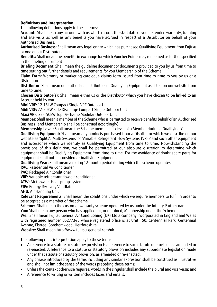# **Definitions and Interpretation**

The following definitions apply to these terms:

**Account:** Shall mean any account with us which records the start date of your extended warranty, training and site visits as well as any benefits you have accrued in respect of a Distributor on behalf of your Authorised Business.

**Authorised Business:** Shall mean any legal entity which has purchased Qualifying Equipment from Fujitsu or one of our Distributors.

**Benefits:** Shall mean the benefits in exchange for which Voucher Points may redeemed as further specified in the briefing document

**Briefing Document:** Shall mean the guideline document or documents provided to you by us from time to time setting out further details and requirements for you Membership of the Scheme.

**Claim Form:** Warranty or marketing catalogue claims form issued from time to time to you by us or a Distributor.

**Distributor:** Shall mean our authorised distributors of Qualifying Equipment as listed on our website from time to time.

**Chosen Distributor(s)**: Shall mean either us or the Distributor which you have chosen to be linked to an Account held by you.

**Mini VRF:** 12-15kW Compact Single VRF Outdoor Unit

**Midi VRF:** 22-50kW Side Discharge Compact Single Outdoor Unit

**Maxi VRF:** 22-150kW Top Discharge Modular Outdoor Unit

**Member:** Shall mean a member of the Scheme who is permitted to receive benefits behalf of an Authorised Business (and Membership shall be construed accordingly).

**Membership Level:** Shall mean the Scheme membership level of a Member during a Qualifying Year.

**Qualifying Equipment:** Shall mean any products purchased from a Distributor which we describe on our website as 'Splits', 'Multi Systems' or 'Variable Refrigerant Flow Systems (VRF)' and such other equipment and accessories which we identify as Qualifying Equipment from time to time. Notwithstanding the provisions of this definition, we shall be permitted at our absolute discretion to determine which equipment shall be Qualifying Equipment from time to time. For the avoidance of doubt spare parts for equipment shall not be considered Qualifying Equipment.

**Qualifying Year:** Shall mean a rolling 12-month period during which the scheme operates.

**RAC:** Residential Air Conditioner

**PAC:** Packaged Air Conditioner

**VRF:** Variable refrigerant flow air conditioner

**ATW:** Air to water Heat-pump system

**ERV:** Energy Recovery Ventilator

**AHU:** Air Handling Unit

**Relevant Requirements:** Shall mean the conditions under which we require members to fulfil in order to be accepted as a member of the scheme

**Scheme:** Shall mean the customer warranty scheme operated by us under the Infinity Partner name.

**You:** Shall mean any person who has applied for, or obtained, Membership under the Scheme.

**We:** Shall mean Fujitsu General Air Conditioning (UK) Ltd a company incorporated in England and Wales with registered number 06277345 whose registered office is at Unit 150, Centennial Park, Centennial Avenue, Elstree, Borehamwood, Hertfordshire

**Website:** Shall mean http://www.fujitsu-general.com/uk

The following rules interpretation apply to these terms:

- A reference to a statute or statutory provision is a reference to such statute or provision as amended or re-enacted. A reference to a statute or statutory provision includes any subordinate legislation made under that statute or statutory provision, as amended or re-enacted.
- Any phrase introduced by the terms including any similar expression shall be construed as illustrative and shall not limit the sense of the words preceding those terms;
- Unless the context otherwise requires, words in the singular shall include the plural and vice versa; and
- A reference to writing or written includes faxes and emails.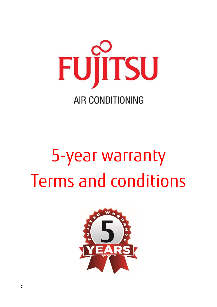

# 5-year warranty Terms and conditions

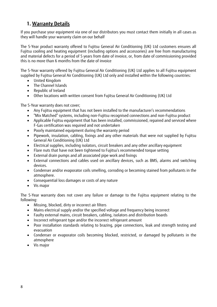# **1. Warranty Details**

If you purchase your equipment via one of our distributors you must contact them initially in all cases as they will handle your warranty claim on our behalf

The 5-Year product warranty offered to Fujitsu General Air Conditioning (UK) Ltd customers ensures all Fujitsu cooling and heating equipment (including options and accessories) are free from manufacturing and material defects for a period of 5 years from date of invoice, or, from date of commissioning provided this is no more than 6 months from the date of invoice

The 5-Year warranty offered by Fujitsu General Air Conditioning (UK) Ltd applies to all Fujitsu equipment supplied by Fujitsu General Air Conditioning (UK) Ltd only and installed within the following countries:

- United Kingdom
- The Channel Islands
- Republic of Ireland
- Other locations with written consent from Fujitsu General Air Conditioning (UK) Ltd

The 5-Year warranty does not cover;

- Any Fujitsu equipment that has not been installed to the manufacturer's recommendations
- "Mix Matched" systems, including non-Fujitsu recognised connections and non-Fujitsu product
- Applicable Fujitsu equipment that has been installed, commissioned, repaired and serviced where F-Gas certification was required and not undertaken
- Poorly maintained equipment during the warranty period
- Pipework, insulation, cabling, fixings and any other materials that were not supplied by Fujitsu General Air Conditioning (UK) Ltd
- Electrical supplies, including isolators, circuit breakers and any other ancillary equipment
- Flare nuts that have not been tightened to Fujitsu's recommended torque setting
- External drain pumps and all associated pipe work and fixings
- External connections and cables used on ancillary devices, such as BMS, alarms and switching devices.
- Condenser and/or evaporator coils smelling, corroding or becoming stained from pollutants in the atmosphere.
- Consequential loss damages or costs of any nature
- Vis major

The 5-Year warranty does not cover any failure or damage to the Fujitsu equipment relating to the following:

- Missing, blocked, dirty or incorrect air filters
- Mains electrical supply and/or the specified voltage and frequency being incorrect
- Faulty external mains, circuit breakers, cabling, isolators and distribution boards
- Incorrect refrigerant type and/or the incorrect refrigerant amount
- Poor installation standards relating to brazing, pipe connections, leak and strength testing and evacuation
- Condenser or evaporator coils becoming blocked, restricted, or damaged by pollutants in the atmosphere
- Vis major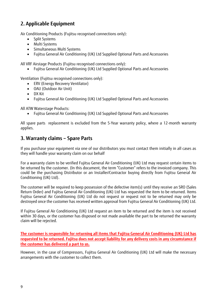# **2. Applicable Equipment**

Air Conditioning Products (Fujitsu recognised connections only):

- Split Systems
- Multi Systems
- Simultaneous Multi Systems
- Fujitsu General Air Conditioning (UK) Ltd Supplied Optional Parts and Accessories

All VRF Airstage Products (Fujitsu recognised connections only):

• Fujitsu General Air Conditioning (UK) Ltd Supplied Optional Parts and Accessories

Ventilation (Fujitsu recognised connections only):

- ERV (Energy Recovery Ventilator)
- OAU (Outdoor Air Unit)
- DX Kit
- Fujitsu General Air Conditioning (UK) Ltd Supplied Optional Parts and Accessories

All ATW Waterstage Products:

• Fujitsu General Air Conditioning (UK) Ltd Supplied Optional Parts and Accessories

All spare parts replacement is excluded from the 5-Year warranty policy, where a 12-month warranty applies.

# **3. Warranty claims – Spare Parts**

If you purchase your equipment via one of our distributors you must contact them initially in all cases as they will handle your warranty claim on our behalf

For a warranty claim to be verified Fujitsu General Air Conditioning (UK) Ltd may request certain items to be returned by the customer. (In this document, the term "Customer" refers to the invoiced company. This could be the purchasing Distributor or an Installer/Contractor buying directly from Fujitsu General Air Conditioning (UK) Ltd).

The customer will be required to keep possession of the defective item(s) until they receive an SRO (Sales Return Order) and Fujitsu General Air Conditioning (UK) Ltd has requested the item to be returned. Items Fujitsu General Air Conditioning (UK) Ltd do not request or request not to be returned may only be destroyed once the customer has received written approval from Fujitsu General Air Conditioning (UK) Ltd.

If Fujitsu General Air Conditioning (UK) Ltd request an item to be returned and the item is not received within 30 days, or the customer has disposed or not made available the part to be returned the warranty claim will be rejected.

**The customer is responsible for returning all items that Fujitsu General Air Conditioning (UK) Ltd has requested to be returned. Fujitsu does not accept liability for any delivery costs in any circumstance if the customer has delivered a part to us.**

However, in the case of Compressors, Fujitsu General Air Conditioning (UK) Ltd will make the necessary arrangements with the customer to collect them.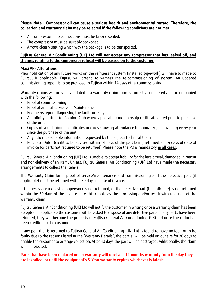**Please Note - Compressor oil can cause a serious health and environmental hazard. Therefore, the collection and warranty claim may be rejected if the following conditions are not met:** 

- All compressor pipe connections must be brazed sealed.
- The compressor must be suitably packaged.
- Arrows clearly stating which way the package is to be transported.

# **Fujitsu General Air Conditioning (UK) Ltd will not accept any compressor that has leaked oil, and charges relating to the compressor refusal will be passed on to the customer.**

#### **Maxi VRF Alterations**

Prior notification of any future works on the refrigerant system (installed pipework) will have to made to Fujitsu. If applicable, Fujitsu will attend to witness the re-commissioning of system. An updated commissioning report is to be provided to Fujitsu within 14 days of re-commissioning.

Warranty claims will only be validated if a warranty claim form is correctly completed and accompanied with the following:

- Proof of commissioning
- Proof of annual Service and Maintenance
- Engineers report diagnosing the fault correctly
- An Infinity Partner (or Comfort Club where applicable) membership certificate dated prior to purchase of the unit
- Copies of your Training certificates or cards showing attendance to annual Fujitsu training every year since the purchase of the unit
- Any other reasonable information requested by the Fujitsu Technical team
- Purchase Order (credit to be advised within 14 days of the part being returned, or 14 days of date of invoice for parts not required to be returned) Please note the PO is mandatory in all cases.

Fujitsu General Air Conditioning (UK) Ltd is unable to accept liability for the late arrival, damaged in transit and non-delivery of an item. Unless, Fujitsu General Air Conditioning (UK) Ltd have made the necessary arrangements to collect the item(s)

The Warranty Claim form, proof of service/maintenance and commissioning and the defective part (if applicable) must be returned within 30 days of date of invoice.

If the necessary requested paperwork is not returned, or the defective part (if applicable) is not returned within the 30 days of the invoice date this can delay the processing and/or result with rejection of the warranty claim

Fujitsu General Air Conditioning (UK) Ltd will notify the customer in writing once a warranty claim has been accepted. If applicable the customer will be asked to dispose of any defective parts, if any parts have been returned, they will become the property of Fujitsu General Air Conditioning (UK) Ltd once the claim has been credited to the customer.

If any part that is returned to Fujitsu General Air Conditioning (UK) Ltd is found to have no fault or to be faulty due to the reasons listed in the "Warranty Details", the part(s) will be held on our site for 30 days to enable the customer to arrange collection. After 30 days the part will be destroyed. Additionally, the claim will be rejected.

**Parts that have been replaced under warranty will receive a 12 months warranty from the day they are installed, or until the equipment's 5-Year warranty expires whichever is latest.**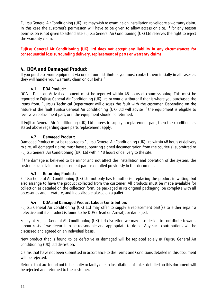Fujitsu General Air Conditioning (UK) Ltd may wish to examine an installation to validate a warranty claim. In this case the customer's permission will have to be given to allow access on site. If for any reason permission is not given to attend site Fujitsu General Air Conditioning (UK) Ltd reserves the right to reject the warranty claim.

**Fujitsu General Air Conditioning (UK) Ltd does not accept any liability in any circumstances for consequential loss surrounding delivery, replacement of parts or warranty claims** 

# **4. DOA and Damaged Product**

If you purchase your equipment via one of our distributors you must contact them initially in all cases as they will handle your warranty claim on our behalf

# **4.1 DOA Product:**

DOA – Dead on Arrival equipment must be reported within 48 hours of commissioning. This must be reported to Fujitsu General Air Conditioning (UK) Ltd or your distributor if that is where you purchased the items from. Fujitsu's Technical Department will discuss the fault with the customer. Depending on the nature of the fault Fujitsu General Air Conditioning (UK) Ltd will advise if the equipment is eligible to receive a replacement part, or if the equipment should be returned.

If Fujitsu General Air Conditioning (UK) Ltd agrees to supply a replacement part, then the conditions as stated above regarding spare parts replacement apply.

# **4.2 Damaged Product:**

Damaged Product must be reported to Fujitsu General Air Conditioning (UK) Ltd within 48 hours of delivery to site. All damaged claims must have supporting signed documentation from the courier(s) submitted to Fujitsu General Air Conditioning (UK) Ltd within 48 hours of delivery to the site.

If the damage is believed to be minor and not affect the installation and operation of the system, the customer can claim for replacement part as detailed previously in this document.

# **4.3 Returning Product:**

Fujitsu General Air Conditioning (UK) Ltd not only has to authorise replacing the product in writing, but also arrange to have the product collected from the customer. All products must be made available for collection as detailed on the collection form, be packaged in its original packaging, be complete with all accessories and literature, and if applicable placed on a pallet.

# **4.4 DOA and Damaged Product Labour Contribution:**

Fujitsu General Air Conditioning (UK) Ltd may offer to supply a replacement part(s) to either repair a defective unit if a product is found to be DOA (Dead on Arrival), or damaged.

Solely at Fujitsu General Air Conditioning (UK) Ltd discretion we may also decide to contribute towards labour costs if we deem it to be reasonable and appropriate to do so. Any such contributions will be discussed and agreed on an individual basis.

New product that is found to be defective or damaged will be replaced solely at Fujitsu General Air Conditioning (UK) Ltd discretion.

Claims that have not been submitted in accordance to the Terms and Conditions detailed in this document will be rejected.

Returns that are found not to be faulty or faulty due to installation mistakes detailed on this document will be rejected and returned to the customer.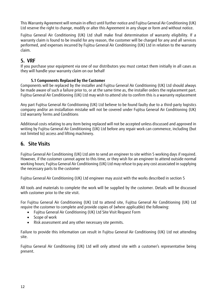This Warranty Agreement will remain in effect until further notice and Fujitsu General Air Conditioning (UK) Ltd reserve the right to change, modify or alter this Agreement in any shape or form and without notice.

Fujitsu General Air Conditioning (UK) Ltd shall make final determination of warranty eligibility. If a warranty claim is found to be invalid for any reason, the customer will be charged for any and all services performed, and expenses incurred by Fujitsu General Air Conditioning (UK) Ltd in relation to the warranty claim.

# **5. VRF**

If you purchase your equipment via one of our distributors you must contact them initially in all cases as they will handle your warranty claim on our behalf

# **5.1 Components Replaced by the Customer**

Components will be replaced by the installer and Fujitsu General Air Conditioning (UK) Ltd should always be made aware of such a failure prior to, or at the same time as, the installer orders the replacement part. Fujitsu General Air Conditioning (UK) Ltd may wish to attend site to confirm this is a warranty replacement

Any part Fujitsu General Air Conditioning (UK) Ltd believe to be found faulty due to a third-party logistics company and/or an installation mistake will not be covered under Fujitsu General Air Conditioning (UK) Ltd warranty Terms and Conditions

Additional costs relating to any item being replaced will not be accepted unless discussed and approved in writing by Fujitsu General Air Conditioning (UK) Ltd before any repair work can commence, including (but not limited to) access and lifting machinery.

# **6. Site Visits**

Fujitsu General Air Conditioning (UK) Ltd aim to send an engineer to site within 5 working days if required. However, if the customer cannot agree to this time, or they wish for an engineer to attend outside normal working hours; Fujitsu General Air Conditioning (UK) Ltd may refuse to pay any cost associated in supplying the necessary parts to the customer

Fujitsu General Air Conditioning (UK) Ltd engineer may assist with the works described in section 5

All tools and materials to complete the work will be supplied by the customer. Details will be discussed with customer prior to the site visit.

For Fujitsu General Air Conditioning (UK) Ltd to attend site, Fujitsu General Air Conditioning (UK) Ltd require the customer to complete and provide copies of (where applicable) the following:

- Fujitsu General Air Conditioning (UK) Ltd Site Visit Request Form
- Scope of work
- Risk assessment and any other necessary site permits.

Failure to provide this information can result in Fujitsu General Air Conditioning (UK) Ltd not attending site.

Fujitsu General Air Conditioning (UK) Ltd will only attend site with a customer's representative being present.